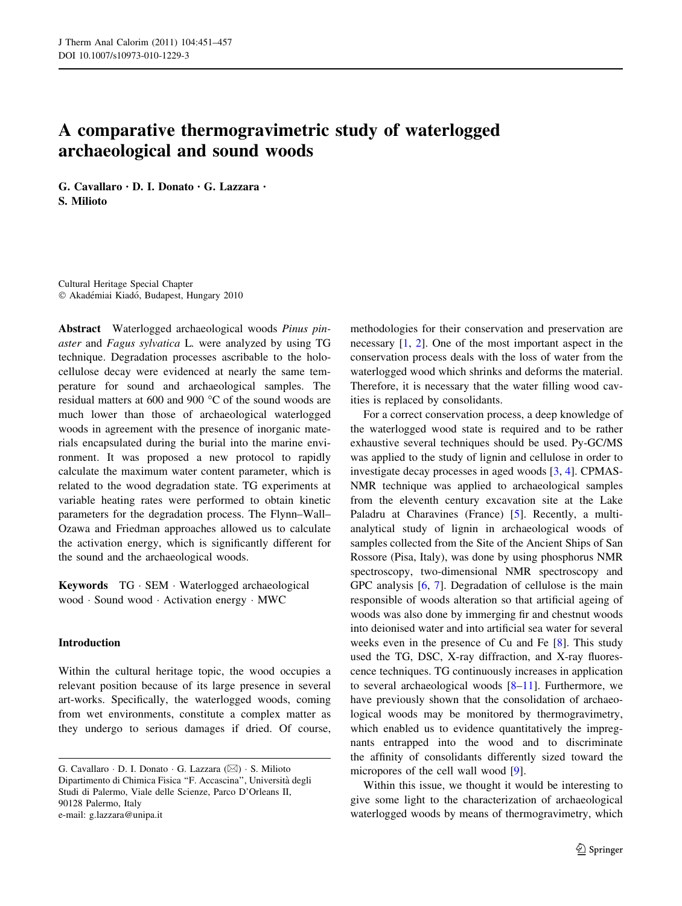# A comparative thermogravimetric study of waterlogged archaeological and sound woods

G. Cavallaro • D. I. Donato • G. Lazzara • S. Milioto

Cultural Heritage Special Chapter © Akadémiai Kiadó, Budapest, Hungary 2010

Abstract Waterlogged archaeological woods Pinus pinaster and Fagus sylvatica L. were analyzed by using TG technique. Degradation processes ascribable to the holocellulose decay were evidenced at nearly the same temperature for sound and archaeological samples. The residual matters at 600 and 900 °C of the sound woods are much lower than those of archaeological waterlogged woods in agreement with the presence of inorganic materials encapsulated during the burial into the marine environment. It was proposed a new protocol to rapidly calculate the maximum water content parameter, which is related to the wood degradation state. TG experiments at variable heating rates were performed to obtain kinetic parameters for the degradation process. The Flynn–Wall– Ozawa and Friedman approaches allowed us to calculate the activation energy, which is significantly different for the sound and the archaeological woods.

Keywords TG - SEM - Waterlogged archaeological wood - Sound wood - Activation energy - MWC

## Introduction

Within the cultural heritage topic, the wood occupies a relevant position because of its large presence in several art-works. Specifically, the waterlogged woods, coming from wet environments, constitute a complex matter as they undergo to serious damages if dried. Of course, methodologies for their conservation and preservation are necessary [\[1](#page-5-0), [2](#page-5-0)]. One of the most important aspect in the conservation process deals with the loss of water from the waterlogged wood which shrinks and deforms the material. Therefore, it is necessary that the water filling wood cavities is replaced by consolidants.

For a correct conservation process, a deep knowledge of the waterlogged wood state is required and to be rather exhaustive several techniques should be used. Py-GC/MS was applied to the study of lignin and cellulose in order to investigate decay processes in aged woods [[3,](#page-5-0) [4\]](#page-5-0). CPMAS-NMR technique was applied to archaeological samples from the eleventh century excavation site at the Lake Paladru at Charavines (France) [\[5](#page-5-0)]. Recently, a multianalytical study of lignin in archaeological woods of samples collected from the Site of the Ancient Ships of San Rossore (Pisa, Italy), was done by using phosphorus NMR spectroscopy, two-dimensional NMR spectroscopy and GPC analysis [\[6](#page-5-0), [7](#page-5-0)]. Degradation of cellulose is the main responsible of woods alteration so that artificial ageing of woods was also done by immerging fir and chestnut woods into deionised water and into artificial sea water for several weeks even in the presence of Cu and Fe [[8\]](#page-5-0). This study used the TG, DSC, X-ray diffraction, and X-ray fluorescence techniques. TG continuously increases in application to several archaeological woods [\[8–11](#page-5-0)]. Furthermore, we have previously shown that the consolidation of archaeological woods may be monitored by thermogravimetry, which enabled us to evidence quantitatively the impregnants entrapped into the wood and to discriminate the affinity of consolidants differently sized toward the micropores of the cell wall wood [[9\]](#page-5-0).

Within this issue, we thought it would be interesting to give some light to the characterization of archaeological waterlogged woods by means of thermogravimetry, which

G. Cavallaro · D. I. Donato · G. Lazzara ( $\boxtimes$ ) · S. Milioto Dipartimento di Chimica Fisica ''F. Accascina'', Universita` degli Studi di Palermo, Viale delle Scienze, Parco D'Orleans II, 90128 Palermo, Italy e-mail: g.lazzara@unipa.it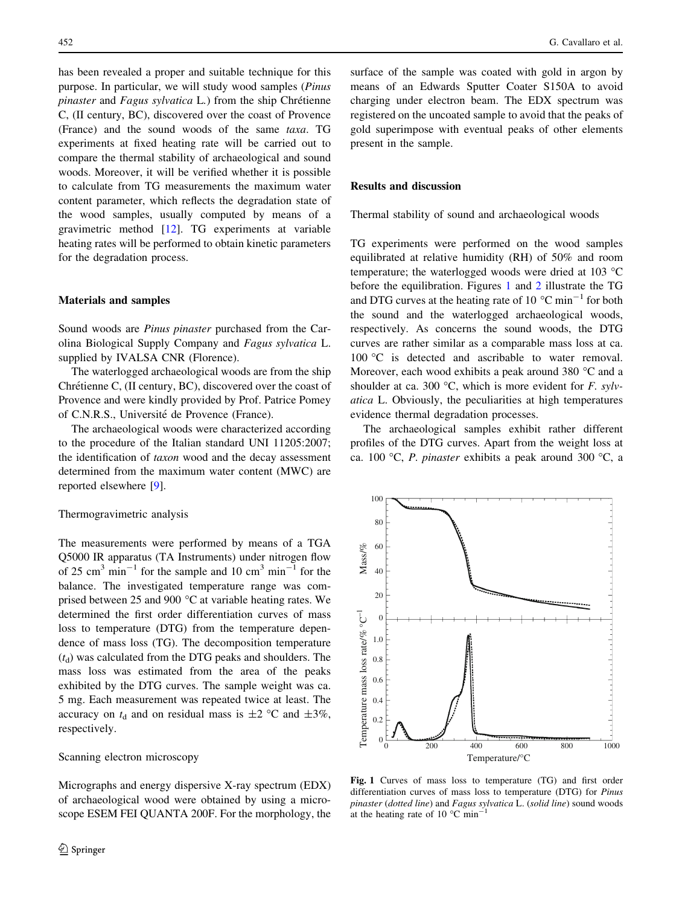has been revealed a proper and suitable technique for this purpose. In particular, we will study wood samples (Pinus  $pinaster$  and  $Fagus$  sylvatica  $L$ .) from the ship Chrétienne C, (II century, BC), discovered over the coast of Provence (France) and the sound woods of the same taxa. TG experiments at fixed heating rate will be carried out to compare the thermal stability of archaeological and sound woods. Moreover, it will be verified whether it is possible to calculate from TG measurements the maximum water content parameter, which reflects the degradation state of the wood samples, usually computed by means of a gravimetric method [\[12](#page-5-0)]. TG experiments at variable heating rates will be performed to obtain kinetic parameters for the degradation process.

#### Materials and samples

Sound woods are Pinus pinaster purchased from the Carolina Biological Supply Company and Fagus sylvatica L. supplied by IVALSA CNR (Florence).

The waterlogged archaeological woods are from the ship Chrétienne C, (II century, BC), discovered over the coast of Provence and were kindly provided by Prof. Patrice Pomey of C.N.R.S., Université de Provence (France).

The archaeological woods were characterized according to the procedure of the Italian standard UNI 11205:2007; the identification of taxon wood and the decay assessment determined from the maximum water content (MWC) are reported elsewhere [\[9](#page-5-0)].

## Thermogravimetric analysis

The measurements were performed by means of a TGA Q5000 IR apparatus (TA Instruments) under nitrogen flow of 25 cm<sup>3</sup> min<sup>-1</sup> for the sample and 10 cm<sup>3</sup> min<sup>-1</sup> for the balance. The investigated temperature range was comprised between 25 and 900 $\degree$ C at variable heating rates. We determined the first order differentiation curves of mass loss to temperature (DTG) from the temperature dependence of mass loss (TG). The decomposition temperature  $(t<sub>d</sub>)$  was calculated from the DTG peaks and shoulders. The mass loss was estimated from the area of the peaks exhibited by the DTG curves. The sample weight was ca. 5 mg. Each measurement was repeated twice at least. The accuracy on  $t_d$  and on residual mass is  $\pm 2$  °C and  $\pm 3\%$ , respectively.

#### Scanning electron microscopy

Micrographs and energy dispersive X-ray spectrum (EDX) of archaeological wood were obtained by using a microscope ESEM FEI QUANTA 200F. For the morphology, the surface of the sample was coated with gold in argon by means of an Edwards Sputter Coater S150A to avoid charging under electron beam. The EDX spectrum was registered on the uncoated sample to avoid that the peaks of gold superimpose with eventual peaks of other elements present in the sample.

## Results and discussion

Thermal stability of sound and archaeological woods

TG experiments were performed on the wood samples equilibrated at relative humidity (RH) of 50% and room temperature; the waterlogged woods were dried at 103  $^{\circ}$ C before the equilibration. Figures 1 and [2](#page-2-0) illustrate the TG and DTG curves at the heating rate of 10  $^{\circ}$ C min<sup>-1</sup> for both the sound and the waterlogged archaeological woods, respectively. As concerns the sound woods, the DTG curves are rather similar as a comparable mass loss at ca. 100 °C is detected and ascribable to water removal. Moreover, each wood exhibits a peak around 380  $\degree$ C and a shoulder at ca. 300 °C, which is more evident for F. sylvatica L. Obviously, the peculiarities at high temperatures evidence thermal degradation processes.

The archaeological samples exhibit rather different profiles of the DTG curves. Apart from the weight loss at ca. 100 °C, P. pinaster exhibits a peak around 300 °C, a



Fig. 1 Curves of mass loss to temperature (TG) and first order differentiation curves of mass loss to temperature (DTG) for Pinus pinaster (dotted line) and Fagus sylvatica L. (solid line) sound woods at the heating rate of 10  $^{\circ}$ C min<sup>-1</sup>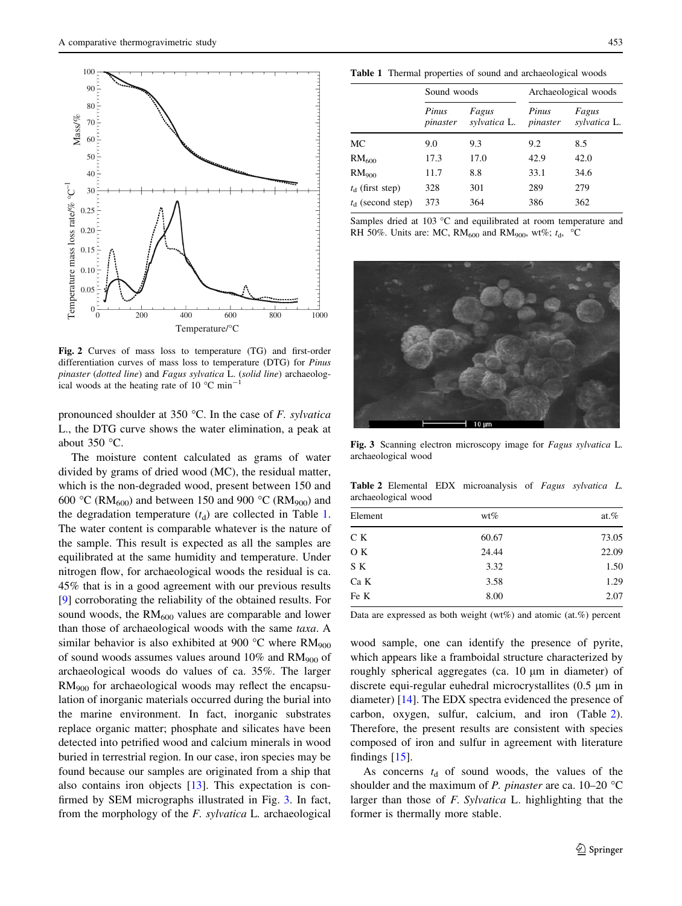<span id="page-2-0"></span>

Fig. 2 Curves of mass loss to temperature (TG) and first-order differentiation curves of mass loss to temperature (DTG) for Pinus pinaster (dotted line) and Fagus sylvatica L. (solid line) archaeological woods at the heating rate of 10  $^{\circ}$ C min<sup>-1</sup>

pronounced shoulder at 350 °C. In the case of  $F$ . sylvatical L., the DTG curve shows the water elimination, a peak at about  $350^{\circ}$ C.

The moisture content calculated as grams of water divided by grams of dried wood (MC), the residual matter, which is the non-degraded wood, present between 150 and 600 °C (RM<sub>600</sub>) and between 150 and 900 °C (RM<sub>900</sub>) and the degradation temperature  $(t_d)$  are collected in Table 1. The water content is comparable whatever is the nature of the sample. This result is expected as all the samples are equilibrated at the same humidity and temperature. Under nitrogen flow, for archaeological woods the residual is ca. 45% that is in a good agreement with our previous results [\[9](#page-5-0)] corroborating the reliability of the obtained results. For sound woods, the  $RM<sub>600</sub>$  values are comparable and lower than those of archaeological woods with the same taxa. A similar behavior is also exhibited at 900 °C where  $RM<sub>900</sub>$ of sound woods assumes values around  $10\%$  and  $RM<sub>900</sub>$  of archaeological woods do values of ca. 35%. The larger RM900 for archaeological woods may reflect the encapsulation of inorganic materials occurred during the burial into the marine environment. In fact, inorganic substrates replace organic matter; phosphate and silicates have been detected into petrified wood and calcium minerals in wood buried in terrestrial region. In our case, iron species may be found because our samples are originated from a ship that also contains iron objects [[13\]](#page-5-0). This expectation is confirmed by SEM micrographs illustrated in Fig. 3. In fact, from the morphology of the F. sylvatica L. archaeological

Table 1 Thermal properties of sound and archaeological woods

|                          | Sound woods       |                       | Archaeological woods |                       |
|--------------------------|-------------------|-----------------------|----------------------|-----------------------|
|                          | Pinus<br>pinaster | Fagus<br>sylvatica L. | Pinus<br>pinaster    | Fagus<br>sylvatica L. |
| МC                       | 9.0               | 9.3                   | 9.2                  | 8.5                   |
| $\mathrm{RM}_{600}$      | 17.3              | 17.0                  | 42.9                 | 42.0                  |
| RM <sub>900</sub>        | 11.7              | 8.8                   | 33.1                 | 34.6                  |
| $t_{\rm d}$ (first step) | 328               | 301                   | 289                  | 279                   |
| $t_{d}$ (second step)    | 373               | 364                   | 386                  | 362                   |

Samples dried at 103 °C and equilibrated at room temperature and RH 50%. Units are: MC, RM<sub>600</sub> and RM<sub>900</sub>, wt%;  $t<sub>d</sub>$ , °C



Fig. 3 Scanning electron microscopy image for Fagus sylvatica L. archaeological wood

Table 2 Elemental EDX microanalysis of Fagus sylvatica L. archaeological wood

| Element | $wt\%$ | at. $%$ |
|---------|--------|---------|
| CК      | 60.67  | 73.05   |
| O K     | 24.44  | 22.09   |
| S K     | 3.32   | 1.50    |
| Ca K    | 3.58   | 1.29    |
| Fe K    | 8.00   | 2.07    |

Data are expressed as both weight (wt%) and atomic (at.%) percent

wood sample, one can identify the presence of pyrite, which appears like a framboidal structure characterized by roughly spherical aggregates (ca.  $10 \mu m$  in diameter) of discrete equi-regular euhedral microcrystallites  $(0.5 \mu m)$  in diameter) [\[14](#page-5-0)]. The EDX spectra evidenced the presence of carbon, oxygen, sulfur, calcium, and iron (Table 2). Therefore, the present results are consistent with species composed of iron and sulfur in agreement with literature findings  $[15]$  $[15]$ .

As concerns  $t_d$  of sound woods, the values of the shoulder and the maximum of *P. pinaster* are ca.  $10-20$  °C larger than those of F. Sylvatica L. highlighting that the former is thermally more stable.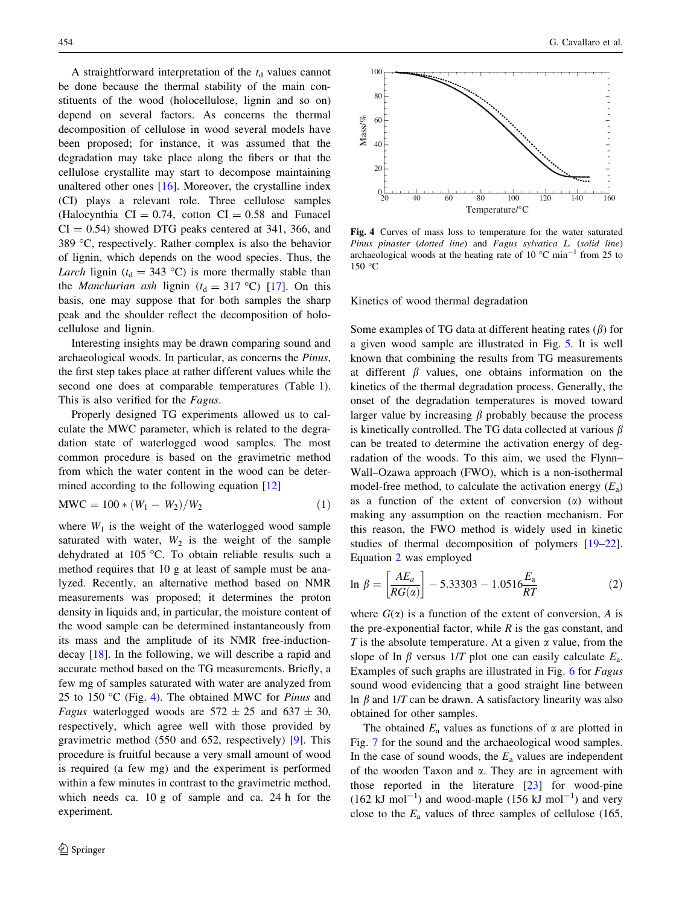<span id="page-3-0"></span>A straightforward interpretation of the  $t<sub>d</sub>$  values cannot be done because the thermal stability of the main constituents of the wood (holocellulose, lignin and so on) depend on several factors. As concerns the thermal decomposition of cellulose in wood several models have been proposed; for instance, it was assumed that the degradation may take place along the fibers or that the cellulose crystallite may start to decompose maintaining unaltered other ones  $[16]$  $[16]$ . Moreover, the crystalline index (CI) plays a relevant role. Three cellulose samples (Halocynthia  $CI = 0.74$ , cotton  $CI = 0.58$  and Funacel  $CI = 0.54$ ) showed DTG peaks centered at 341, 366, and 389  $\degree$ C, respectively. Rather complex is also the behavior of lignin, which depends on the wood species. Thus, the Larch lignin ( $t_d = 343$  °C) is more thermally stable than the *Manchurian ash* lignin ( $t_d = 317$  °C) [\[17](#page-5-0)]. On this basis, one may suppose that for both samples the sharp peak and the shoulder reflect the decomposition of holocellulose and lignin.

Interesting insights may be drawn comparing sound and archaeological woods. In particular, as concerns the Pinus, the first step takes place at rather different values while the second one does at comparable temperatures (Table [1](#page-2-0)). This is also verified for the Fagus.

Properly designed TG experiments allowed us to calculate the MWC parameter, which is related to the degradation state of waterlogged wood samples. The most common procedure is based on the gravimetric method from which the water content in the wood can be deter-mined according to the following equation [\[12](#page-5-0)]

$$
MWC = 100 * (W_1 - W_2)/W_2
$$
 (1)

where  $W_1$  is the weight of the waterlogged wood sample saturated with water,  $W_2$  is the weight of the sample dehydrated at 105 °C. To obtain reliable results such a method requires that 10 g at least of sample must be analyzed. Recently, an alternative method based on NMR measurements was proposed; it determines the proton density in liquids and, in particular, the moisture content of the wood sample can be determined instantaneously from its mass and the amplitude of its NMR free-inductiondecay [\[18](#page-5-0)]. In the following, we will describe a rapid and accurate method based on the TG measurements. Briefly, a few mg of samples saturated with water are analyzed from 25 to 150 °C (Fig. 4). The obtained MWC for *Pinus* and *Fagus* waterlogged woods are  $572 \pm 25$  and  $637 \pm 30$ , respectively, which agree well with those provided by gravimetric method (550 and 652, respectively) [[9\]](#page-5-0). This procedure is fruitful because a very small amount of wood is required (a few mg) and the experiment is performed within a few minutes in contrast to the gravimetric method, which needs ca. 10 g of sample and ca. 24 h for the experiment.



Fig. 4 Curves of mass loss to temperature for the water saturated Pinus pinaster (dotted line) and Fagus sylvatica L. (solid line) archaeological woods at the heating rate of 10  $^{\circ}$ C min<sup>-1</sup> from 25 to  $150 °C$ 

Kinetics of wood thermal degradation

Some examples of TG data at different heating rates  $(\beta)$  for a given wood sample are illustrated in Fig. [5.](#page-4-0) It is well known that combining the results from TG measurements at different  $\beta$  values, one obtains information on the kinetics of the thermal degradation process. Generally, the onset of the degradation temperatures is moved toward larger value by increasing  $\beta$  probably because the process is kinetically controlled. The TG data collected at various  $\beta$ can be treated to determine the activation energy of degradation of the woods. To this aim, we used the Flynn– Wall–Ozawa approach (FWO), which is a non-isothermal model-free method, to calculate the activation energy  $(E_a)$ as a function of the extent of conversion  $(\alpha)$  without making any assumption on the reaction mechanism. For this reason, the FWO method is widely used in kinetic studies of thermal decomposition of polymers [\[19–22](#page-6-0)]. Equation 2 was employed

$$
\ln \beta = \left[ \frac{AE_a}{RG(\alpha)} \right] - 5.33303 - 1.0516 \frac{E_a}{RT}
$$
 (2)

where  $G(\alpha)$  is a function of the extent of conversion, A is the pre-exponential factor, while  $R$  is the gas constant, and T is the absolute temperature. At a given  $\alpha$  value, from the slope of ln  $\beta$  versus 1/T plot one can easily calculate  $E_a$ . Examples of such graphs are illustrated in Fig. [6](#page-4-0) for Fagus sound wood evidencing that a good straight line between ln  $\beta$  and 1/T can be drawn. A satisfactory linearity was also obtained for other samples.

The obtained  $E_a$  values as functions of  $\alpha$  are plotted in Fig. [7](#page-4-0) for the sound and the archaeological wood samples. In the case of sound woods, the  $E_a$  values are independent of the wooden Taxon and  $\alpha$ . They are in agreement with those reported in the literature  $[23]$  $[23]$  $[23]$  for wood-pine  $(162 \text{ kJ mol}^{-1})$  and wood-maple  $(156 \text{ kJ mol}^{-1})$  and very close to the  $E_a$  values of three samples of cellulose (165,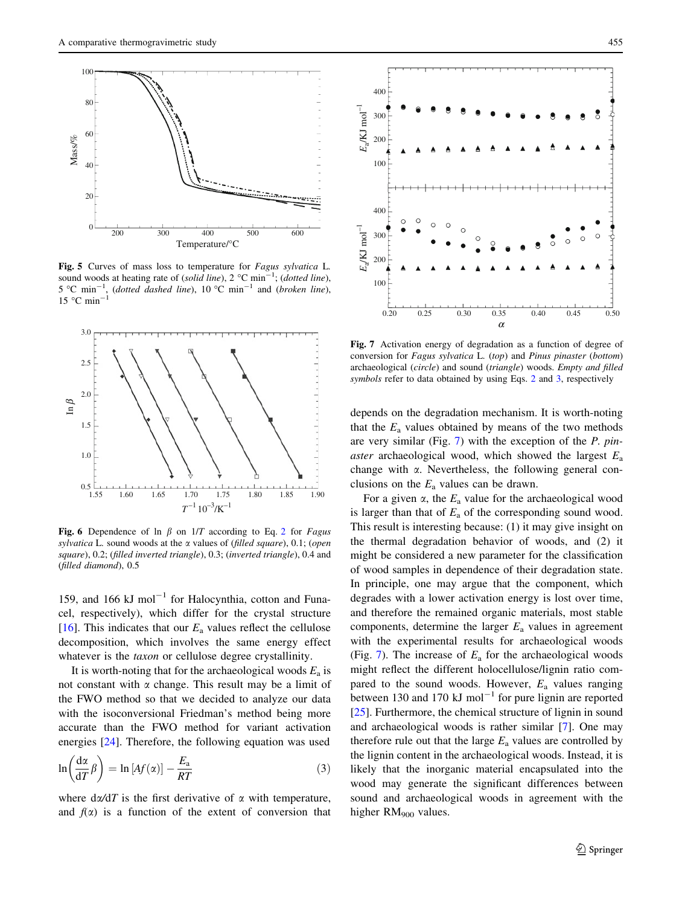<span id="page-4-0"></span>

Fig. 5 Curves of mass loss to temperature for Fagus sylvatica L. sound woods at heating rate of (solid line),  $2^{\circ}$ C min<sup>-1</sup>; (dotted line),  $5^{\circ}$ C min<sup>-1</sup>, (dotted dashed line), 10 °C min<sup>-1</sup> and (broken line),  $15$  °C min



Fig. 6 Dependence of ln  $\beta$  on  $1/T$  according to Eq. [2](#page-3-0) for Fagus sylvatica L. sound woods at the  $\alpha$  values of (filled square), 0.1; (open square), 0.2; (filled inverted triangle), 0.3; (inverted triangle), 0.4 and (filled diamond), 0.5

159, and 166 kJ mol<sup> $-1$ </sup> for Halocynthia, cotton and Funacel, respectively), which differ for the crystal structure [\[16](#page-5-0)]. This indicates that our  $E_a$  values reflect the cellulose decomposition, which involves the same energy effect whatever is the taxon or cellulose degree crystallinity.

It is worth-noting that for the archaeological woods  $E_a$  is not constant with  $\alpha$  change. This result may be a limit of the FWO method so that we decided to analyze our data with the isoconversional Friedman's method being more accurate than the FWO method for variant activation energies [\[24](#page-6-0)]. Therefore, the following equation was used

$$
\ln\left(\frac{d\alpha}{dT}\beta\right) = \ln\left[Af(\alpha)\right] - \frac{E_a}{RT}
$$
\n(3)

where  $d\alpha/dT$  is the first derivative of  $\alpha$  with temperature, and  $f(x)$  is a function of the extent of conversion that



Fig. 7 Activation energy of degradation as a function of degree of conversion for Fagus sylvatica L. (top) and Pinus pinaster (bottom) archaeological (circle) and sound (triangle) woods. Empty and filled symbols refer to data obtained by using Eqs. [2](#page-3-0) and 3, respectively

depends on the degradation mechanism. It is worth-noting that the  $E_a$  values obtained by means of the two methods are very similar (Fig. 7) with the exception of the P. pin*aster* archaeological wood, which showed the largest  $E_a$ change with  $\alpha$ . Nevertheless, the following general conclusions on the  $E_a$  values can be drawn.

For a given  $\alpha$ , the  $E_a$  value for the archaeological wood is larger than that of  $E_a$  of the corresponding sound wood. This result is interesting because: (1) it may give insight on the thermal degradation behavior of woods, and (2) it might be considered a new parameter for the classification of wood samples in dependence of their degradation state. In principle, one may argue that the component, which degrades with a lower activation energy is lost over time, and therefore the remained organic materials, most stable components, determine the larger  $E_a$  values in agreement with the experimental results for archaeological woods (Fig. 7). The increase of  $E_a$  for the archaeological woods might reflect the different holocellulose/lignin ratio compared to the sound woods. However,  $E_a$  values ranging between 130 and 170 kJ mol<sup>-1</sup> for pure lignin are reported [\[25](#page-6-0)]. Furthermore, the chemical structure of lignin in sound and archaeological woods is rather similar [\[7](#page-5-0)]. One may therefore rule out that the large  $E_a$  values are controlled by the lignin content in the archaeological woods. Instead, it is likely that the inorganic material encapsulated into the wood may generate the significant differences between sound and archaeological woods in agreement with the higher RM<sub>900</sub> values.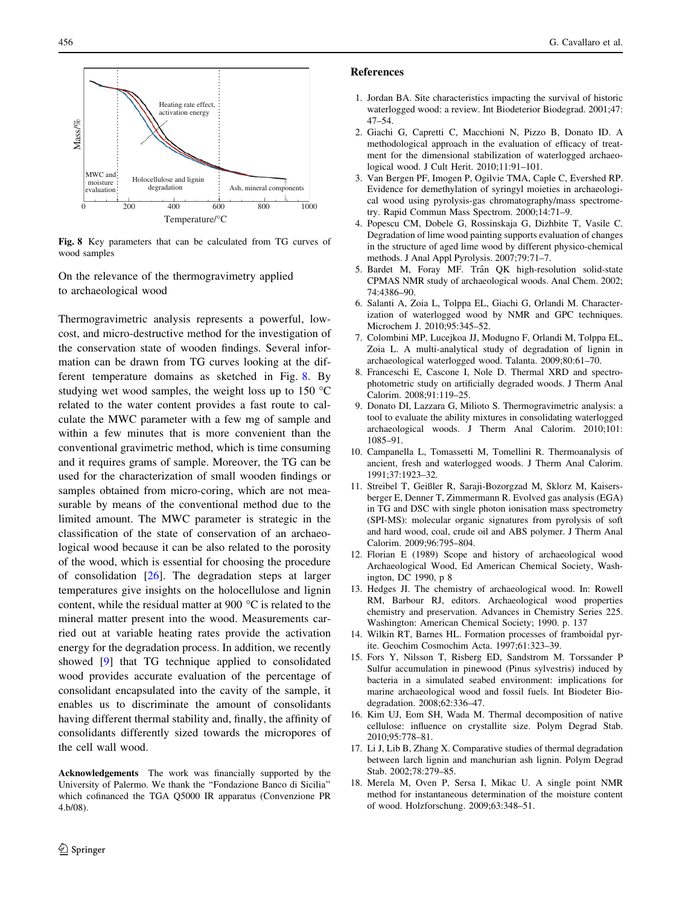<span id="page-5-0"></span>

Fig. 8 Key parameters that can be calculated from TG curves of wood samples

On the relevance of the thermogravimetry applied to archaeological wood

Thermogravimetric analysis represents a powerful, lowcost, and micro-destructive method for the investigation of the conservation state of wooden findings. Several information can be drawn from TG curves looking at the different temperature domains as sketched in Fig. 8. By studying wet wood samples, the weight loss up to  $150^{\circ}$ C related to the water content provides a fast route to calculate the MWC parameter with a few mg of sample and within a few minutes that is more convenient than the conventional gravimetric method, which is time consuming and it requires grams of sample. Moreover, the TG can be used for the characterization of small wooden findings or samples obtained from micro-coring, which are not measurable by means of the conventional method due to the limited amount. The MWC parameter is strategic in the classification of the state of conservation of an archaeological wood because it can be also related to the porosity of the wood, which is essential for choosing the procedure of consolidation [[26\]](#page-6-0). The degradation steps at larger temperatures give insights on the holocellulose and lignin content, while the residual matter at 900 $\degree$ C is related to the mineral matter present into the wood. Measurements carried out at variable heating rates provide the activation energy for the degradation process. In addition, we recently showed [9] that TG technique applied to consolidated wood provides accurate evaluation of the percentage of consolidant encapsulated into the cavity of the sample, it enables us to discriminate the amount of consolidants having different thermal stability and, finally, the affinity of consolidants differently sized towards the micropores of the cell wall wood.

Acknowledgements The work was financially supported by the University of Palermo. We thank the ''Fondazione Banco di Sicilia'' which cofinanced the TGA Q5000 IR apparatus (Convenzione PR 4.b/08).

### References

- 1. Jordan BA. Site characteristics impacting the survival of historic waterlogged wood: a review. Int Biodeterior Biodegrad. 2001;47: 47–54.
- 2. Giachi G, Capretti C, Macchioni N, Pizzo B, Donato ID. A methodological approach in the evaluation of efficacy of treatment for the dimensional stabilization of waterlogged archaeological wood. J Cult Herit. 2010;11:91–101.
- 3. Van Bergen PF, Imogen P, Ogilvie TMA, Caple C, Evershed RP. Evidence for demethylation of syringyl moieties in archaeological wood using pyrolysis-gas chromatography/mass spectrometry. Rapid Commun Mass Spectrom. 2000;14:71–9.
- 4. Popescu CM, Dobele G, Rossinskaja G, Dizhbite T, Vasile C. Degradation of lime wood painting supports evaluation of changes in the structure of aged lime wood by different physico-chemical methods. J Anal Appl Pyrolysis. 2007;79:71–7.
- 5. Bardet M, Foray MF. Trân QK high-resolution solid-state CPMAS NMR study of archaeological woods. Anal Chem. 2002; 74:4386–90.
- 6. Salanti A, Zoia L, Tolppa EL, Giachi G, Orlandi M. Characterization of waterlogged wood by NMR and GPC techniques. Microchem J. 2010;95:345–52.
- 7. Colombini MP, Lucejkoa JJ, Modugno F, Orlandi M, Tolppa EL, Zoia L. A multi-analytical study of degradation of lignin in archaeological waterlogged wood. Talanta. 2009;80:61–70.
- 8. Franceschi E, Cascone I, Nole D. Thermal XRD and spectrophotometric study on artificially degraded woods. J Therm Anal Calorim. 2008;91:119–25.
- 9. Donato DI, Lazzara G, Milioto S. Thermogravimetric analysis: a tool to evaluate the ability mixtures in consolidating waterlogged archaeological woods. J Therm Anal Calorim. 2010;101: 1085–91.
- 10. Campanella L, Tomassetti M, Tomellini R. Thermoanalysis of ancient, fresh and waterlogged woods. J Therm Anal Calorim. 1991;37:1923–32.
- 11. Streibel T, Geißler R, Saraji-Bozorgzad M, Sklorz M, Kaisersberger E, Denner T, Zimmermann R. Evolved gas analysis (EGA) in TG and DSC with single photon ionisation mass spectrometry (SPI-MS): molecular organic signatures from pyrolysis of soft and hard wood, coal, crude oil and ABS polymer. J Therm Anal Calorim. 2009;96:795–804.
- 12. Florian E (1989) Scope and history of archaeological wood Archaeological Wood, Ed American Chemical Society, Washington, DC 1990, p 8
- 13. Hedges JI. The chemistry of archaeological wood. In: Rowell RM, Barbour RJ, editors. Archaeological wood properties chemistry and preservation. Advances in Chemistry Series 225. Washington: American Chemical Society; 1990. p. 137
- 14. Wilkin RT, Barnes HL. Formation processes of framboidal pyrite. Geochim Cosmochim Acta. 1997;61:323–39.
- 15. Fors Y, Nilsson T, Risberg ED, Sandstrom M. Torssander P Sulfur accumulation in pinewood (Pinus sylvestris) induced by bacteria in a simulated seabed environment: implications for marine archaeological wood and fossil fuels. Int Biodeter Biodegradation. 2008;62:336–47.
- 16. Kim UJ, Eom SH, Wada M. Thermal decomposition of native cellulose: influence on crystallite size. Polym Degrad Stab. 2010;95:778–81.
- 17. Li J, Lib B, Zhang X. Comparative studies of thermal degradation between larch lignin and manchurian ash lignin. Polym Degrad Stab. 2002;78:279–85.
- 18. Merela M, Oven P, Sersa I, Mikac U. A single point NMR method for instantaneous determination of the moisture content of wood. Holzforschung. 2009;63:348–51.